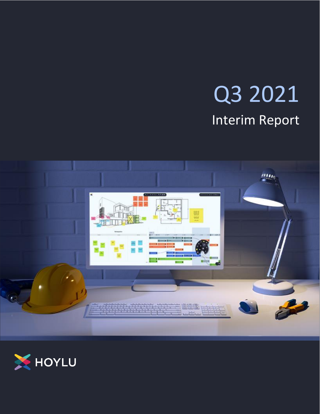# Q3 2021 Interim Report



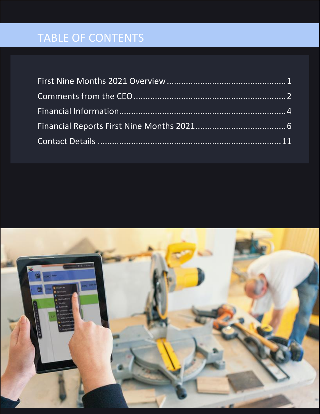# TABLE OF CONTENTS

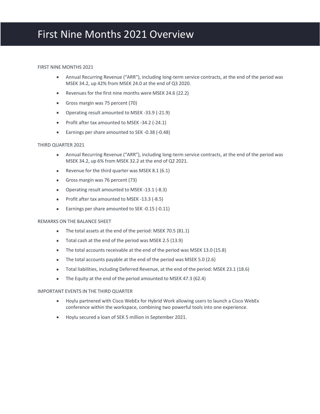#### <span id="page-2-0"></span>FIRST NINE MONTHS 2021

- Annual Recurring Revenue ("ARR"), including long-term service contracts, at the end of the period was MSEK 34.2, up 42% from MSEK 24.0 at the end of Q3 2020.
- Revenues for the first nine months were MSEK 24.6 (22.2)
- Gross margin was 75 percent (70)
- Operating result amounted to MSEK -33.9 (-21.9)
- Profit after tax amounted to MSEK -34.2 (-24.1)
- Earnings per share amounted to SEK -0.38 (-0.48)

### THIRD QUARTER 2021

- Annual Recurring Revenue ("ARR"), including long-term service contracts, at the end of the period was MSEK 34.2, up 6% from MSEK 32.2 at the end of Q2 2021.
- Revenue for the third quarter was MSEK 8.1 (6.1)
- Gross margin was 76 percent (73)
- Operating result amounted to MSEK -13.1 (-8.3)
- Profit after tax amounted to MSEK -13.3 (-8.5)
- Earnings per share amounted to SEK -0.15 (-0.11)

### REMARKS ON THE BALANCE SHEET

- The total assets at the end of the period: MSEK 70.5 (81.1)
- Total cash at the end of the period was MSEK 2.5 (13.9)
- The total accounts receivable at the end of the period was MSEK 13.0 (15.8)
- The total accounts payable at the end of the period was MSEK 5.0 (2.6)
- Total liabilities, including Deferred Revenue, at the end of the period: MSEK 23.1 (18.6)
- The Equity at the end of the period amounted to MSEK 47.3 (62.4)

#### IMPORTANT EVENTS IN THE THIRD QUARTER

- Hoylu partnered with Cisco WebEx for Hybrid Work allowing users to launch a Cisco WebEx conference within the workspace, combining two powerful tools into one experience.
- Hoylu secured a loan of SEK 5 million in September 2021.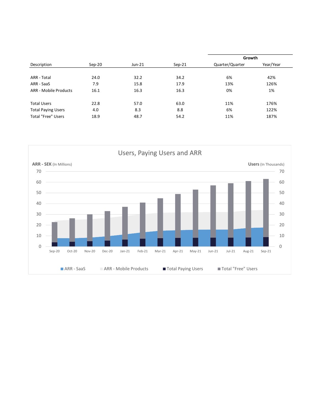|                           |          |        |          | Growth          |           |
|---------------------------|----------|--------|----------|-----------------|-----------|
| Description               | $Sep-20$ | Jun-21 | $Sep-21$ | Quarter/Quarter | Year/Year |
|                           |          |        |          |                 |           |
| ARR - Total               | 24.0     | 32.2   | 34.2     | 6%              | 42%       |
| ARR - SaaS                | 7.9      | 15.8   | 17.9     | 13%             | 126%      |
| ARR - Mobile Products     | 16.1     | 16.3   | 16.3     | 0%              | 1%        |
|                           |          |        |          |                 |           |
| <b>Total Users</b>        | 22.8     | 57.0   | 63.0     | 11%             | 176%      |
| <b>Total Paying Users</b> | 4.0      | 8.3    | 8.8      | 6%              | 122%      |
| <b>Total "Free" Users</b> | 18.9     | 48.7   | 54.2     | 11%             | 187%      |

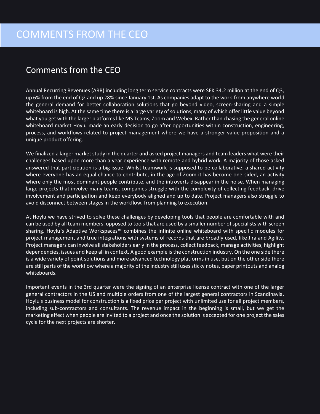### <span id="page-4-0"></span>Comments from the CEO

Annual Recurring Revenues (ARR) including long term service contracts were SEK 34.2 million at the end of Q3, up 6% from the end of Q2 and up 28% since January 1st. As companies adapt to the work-from anywhere world the general demand for better collaboration solutions that go beyond video, screen-sharing and a simple whiteboard is high. At the same time there is a large variety of solutions, many of which offer little value beyond what you get with the larger platforms like MS Teams, Zoom and Webex. Rather than chasing the general online whiteboard market Hoylu made an early decision to go after opportunities within construction, engineering, process, and workflows related to project management where we have a stronger value proposition and a unique product offering.

We finalized a larger market study in the quarter and asked project managers and team leaders what were their challenges based upon more than a year experience with remote and hybrid work. A majority of those asked answered that participation is a big issue. Whilst teamwork is supposed to be collaborative; a shared activity where everyone has an equal chance to contribute, in the age of Zoom it has become one-sided, an activity where only the most dominant people contribute, and the introverts disappear in the noise. When managing large projects that involve many teams, companies struggle with the complexity of collecting feedback, drive involvement and participation and keep everybody aligned and up to date. Project managers also struggle to avoid disconnect between stages in the workflow, from planning to execution.

At Hoylu we have strived to solve these challenges by developing tools that people are comfortable with and can be used by all team members, opposed to tools that are used by a smaller number of specialists with screen sharing. Hoylu`s Adaptive Workspaces™ combines the infinite online whiteboard with specific modules for project management and true integrations with systems of records that are broadly used, like Jira and Agility. Project managers can involve all stakeholders early in the process, collect feedback, manage activities, highlight dependencies, issues and keep all in context. A good example is the construction industry. On the one side there is a wide variety of point solutions and more advanced technology platforms in use, but on the other side there are still parts of the workflow where a majority of the industry still uses sticky notes, paper printouts and analog whiteboards.

Important events in the 3rd quarter were the signing of an enterprise license contract with one of the larger general contractors in the US and multiple orders from one of the largest general contractors in Scandinavia. Hoylu's business model for construction is a fixed price per project with unlimited use for all project members, including sub-contractors and consultants. The revenue impact in the beginning is small, but we get the marketing effect when people are invited to a project and once the solution is accepted for one project the sales cycle for the next projects are shorter.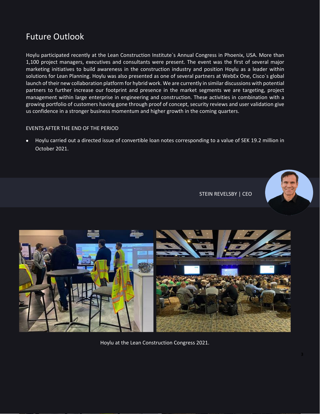### Future Outlook

Hoylu participated recently at the Lean Construction Institute`s Annual Congress in Phoenix, USA. More than 1,100 project managers, executives and consultants were present. The event was the first of several major marketing initiatives to build awareness in the construction industry and position Hoylu as a leader within solutions for Lean Planning. Hoylu was also presented as one of several partners at WebEx One, Cisco`s global launch of their new collaboration platform for hybrid work. We are currently in similar discussions with potential partners to further increase our footprint and presence in the market segments we are targeting, project management within large enterprise in engineering and construction. These activities in combination with a growing portfolio of customers having gone through proof of concept, security reviews and user validation give us confidence in a stronger business momentum and higher growth in the coming quarters.

### EVENTS AFTER THE END OF THE PERIOD

• Hoylu carried out a directed issue of convertible loan notes corresponding to a value of SEK 19.2 million in October 2021.



STEIN REVELSBY | CEO



Hoylu at the Lean Construction Congress 2021.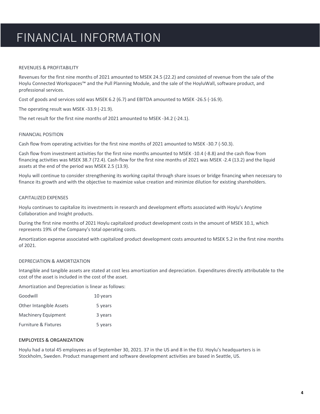### FINANCIAL INFORMATION

### <span id="page-6-0"></span>REVENUES & PROFITABILITY

Revenues for the first nine months of 2021 amounted to MSEK 24.5 (22.2) and consisted of revenue from the sale of the Hoylu Connected Workspaces™ and the Pull Planning Module, and the sale of the HoyluWall, software product, and professional services.

Cost of goods and services sold was MSEK 6.2 (6.7) and EBITDA amounted to MSEK -26.5 (-16.9).

The operating result was MSEK -33.9 (-21.9).

The net result for the first nine months of 2021 amounted to MSEK -34.2 (-24.1).

### FINANCIAL POSITION

Cash flow from operating activities for the first nine months of 2021 amounted to MSEK -30.7 (-50.3).

Cash flow from investment activities for the first nine months amounted to MSEK -10.4 (-8.8) and the cash flow from financing activities was MSEK 38.7 (72.4). Cash-flow for the first nine months of 2021 was MSEK -2.4 (13.2) and the liquid assets at the end of the period was MSEK 2.5 (13.9).

Hoylu will continue to consider strengthening its working capital through share issues or bridge financing when necessary to finance its growth and with the objective to maximize value creation and minimize dilution for existing shareholders.

#### CAPITALIZED EXPENSES

Hoylu continues to capitalize its investments in research and development efforts associated with Hoylu's Anytime Collaboration and Insight products.

During the first nine months of 2021 Hoylu capitalized product development costs in the amount of MSEK 10.1, which represents 19% of the Company's total operating costs.

Amortization expense associated with capitalized product development costs amounted to MSEK 5.2 in the first nine months of 2021.

#### DEPRECIATION & AMORTIZATION

Intangible and tangible assets are stated at cost less amortization and depreciation. Expenditures directly attributable to the cost of the asset is included in the cost of the asset.

Amortization and Depreciation is linear as follows:

| Goodwill                        | 10 years |
|---------------------------------|----------|
| <b>Other Intangible Assets</b>  | 5 years  |
| <b>Machinery Equipment</b>      | 3 years  |
| <b>Furniture &amp; Fixtures</b> | 5 years  |

### EMPLOYEES & ORGANIZATION

Hoylu had a total 45 employees as of September 30, 2021. 37 in the US and 8 in the EU. Hoylu's headquarters is in Stockholm, Sweden. Product management and software development activities are based in Seattle, US.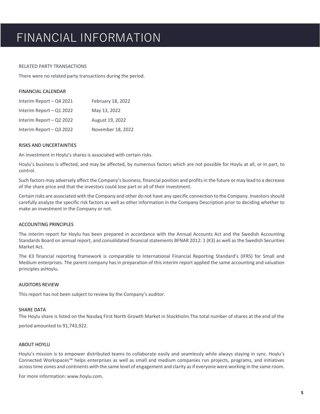### FINANCIAL INFORMATION

#### RELATED PARTY TRANSACTIONS

There were no related party transactions during the period.

| FINANCIAL CALENDAR |  |
|--------------------|--|
|                    |  |

| Interim Report - Q4 2021 | February 18, 2022 |
|--------------------------|-------------------|
| Interim Report - Q1 2022 | May 13, 2022      |
| Interim Report - Q2 2022 | August 19, 2022   |
| Interim Report - Q3 2022 | November 18, 2022 |

### RISKS AND UNCERTAINTIES

An investment in Hoylu's shares is associated with certain risks.

Hoylu's business is affected, and may be affected, by numerous factors which are not possible for Hoylu at all, or in part, to control.

Such factors may adversely affect the Company's business, financial position and profits in the future or may lead to a decrease of the share price and that the investors could lose part or all of their investment.

Certain risks are associated with the Company and other do not have any specific connection to the Company. Investors should carefully analyze the specific risk factors as well as other information in the Company Description prior to deciding whether to make an investment in the Company or not.

#### ACCOUNTING PRINCIPLES

The interim report for Hoylu has been prepared in accordance with the Annual Accounts Act and the Swedish Accounting Standards Board on annual report, and consolidated financial statements BFNAR 2012: 1 (K3) as well as the Swedish Securities Market Act.

The K3 financial reporting framework is comparable to International Financial Reporting Standard's (IFRS) for Small and Medium enterprises. The parent company has in preparation of this interim report applied the same accounting and valuation principles asHoylu.

#### AUDITORS REVIEW

This report has not been subject to review by the Company's auditor.

### SHARE DATA

The Hoylu share is listed on the Nasdaq First North Growth Market in Stockholm.The total number of shares at the end of the period amounted to 91,743,922.

### ABOUT HOYLU

Hoylu's mission is to empower distributed teams to collaborate easily and seamlessly while always staying in sync. Hoylu's Connected Workspaces™ helps enterprises as well as small and medium companies run projects, programs, and initiatives acrosstime zones and continents with the same level of engagement and clarity asif everyone were working in the same room.

For more information: [www.hoylu.com.](http://www.hoylu.com/)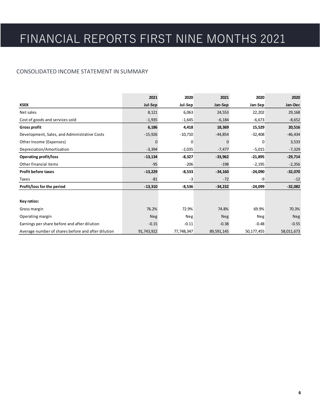### <span id="page-8-0"></span>CONSOLIDATED INCOME STATEMENT IN SUMMARY

|                                                    | 2021       | 2020       | 2021       | 2020       | 2020       |
|----------------------------------------------------|------------|------------|------------|------------|------------|
| <b>KSEK</b>                                        | Jul-Sep    | Jul-Sep    | Jan-Sep    | Jan-Sep    | Jan-Dec    |
| Net sales                                          | 8,121      | 6,063      | 24,553     | 22,202     | 29,168     |
| Cost of goods and services sold                    | $-1,935$   | $-1,645$   | $-6,184$   | $-6,673$   | $-8,652$   |
| Gross profit                                       | 6,186      | 4,418      | 18,369     | 15,529     | 20,516     |
| Development, Sales, and Administrative Costs       | $-15,926$  | $-10,710$  | $-44,854$  | $-32,408$  | $-46,434$  |
| Other Income (Expenses)                            | 0          | 0          | $\Omega$   | $\Omega$   | 3,533      |
| Depreciation/Amortization                          | $-3,394$   | $-2,035$   | $-7,477$   | $-5,015$   | $-7,329$   |
| <b>Operating profit/loss</b>                       | $-13,134$  | $-8,327$   | $-33,962$  | $-21,895$  | $-29,714$  |
| Other financial items                              | $-95$      | $-206$     | $-198$     | $-2,195$   | $-2,356$   |
| <b>Profit before taxes</b>                         | $-13,229$  | $-8,533$   | $-34,160$  | $-24,090$  | $-32,070$  |
| Taxes                                              | $-81$      | -3         | $-72$      | -9         | $-12$      |
| Profit/loss for the period                         | $-13,310$  | $-8,536$   | $-34,232$  | $-24,099$  | $-32,082$  |
|                                                    |            |            |            |            |            |
| Key ratios:                                        |            |            |            |            |            |
| Gross margin                                       | 76.2%      | 72.9%      | 74.8%      | 69.9%      | 70.3%      |
| Operating margin                                   | <b>Neg</b> | Neg        | Neg        | Neg        | Neg        |
| Earnings per share before and after dilution       | $-0.15$    | $-0.11$    | $-0.38$    | $-0.48$    | $-0.55$    |
| Average number of shares before and after dilution | 91,743,922 | 77,748,347 | 89,591,145 | 50,177,455 | 58,011,673 |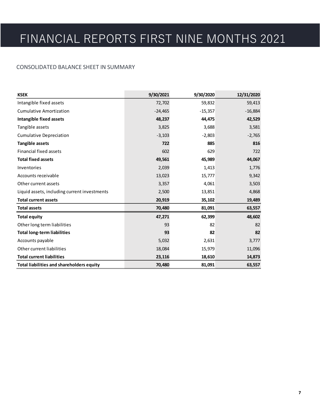### CONSOLIDATED BALANCE SHEET IN SUMMARY

| <b>KSEK</b>                                      | 9/30/2021 | 9/30/2020 | 12/31/2020 |
|--------------------------------------------------|-----------|-----------|------------|
| Intangible fixed assets                          | 72,702    | 59,832    | 59,413     |
| <b>Cumulative Amortization</b>                   | $-24,465$ | $-15,357$ | $-16,884$  |
| <b>Intangible fixed assets</b>                   | 48,237    | 44,475    | 42,529     |
| Tangible assets                                  | 3,825     | 3,688     | 3,581      |
| <b>Cumulative Depreciation</b>                   | $-3,103$  | $-2,803$  | $-2,765$   |
| <b>Tangible assets</b>                           | 722       | 885       | 816        |
| <b>Financial fixed assets</b>                    | 602       | 629       | 722        |
| <b>Total fixed assets</b>                        | 49,561    | 45,989    | 44,067     |
| Inventories                                      | 2,039     | 1,413     | 1,776      |
| Accounts receivable                              | 13,023    | 15,777    | 9,342      |
| Other current assets                             | 3,357     | 4,061     | 3,503      |
| Liquid assets, including current investments     | 2,500     | 13,851    | 4,868      |
| <b>Total current assets</b>                      | 20,919    | 35,102    | 19,489     |
| <b>Total assets</b>                              | 70,480    | 81,091    | 63,557     |
| <b>Total equity</b>                              | 47,271    | 62,399    | 48,602     |
| Other long term liabilities                      | 93        | 82        | 82         |
| <b>Total long-term liabilities</b>               | 93        | 82        | 82         |
| Accounts payable                                 | 5,032     | 2,631     | 3,777      |
| Other current liabilities                        | 18,084    | 15,979    | 11,096     |
| <b>Total current liabilities</b>                 | 23,116    | 18,610    | 14,873     |
| <b>Total liabilities and shareholders equity</b> | 70,480    | 81,091    | 63,557     |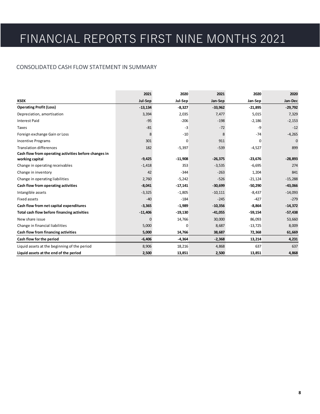### CONSOLIDATED CASH FLOW STATEMENT IN SUMMARY

|                                                       | 2021      | 2020      | 2021      | 2020      | 2020      |
|-------------------------------------------------------|-----------|-----------|-----------|-----------|-----------|
| <b>KSEK</b>                                           | Jul-Sep   | Jul-Sep   | Jan-Sep   | Jan-Sep   | Jan-Dec   |
| <b>Operating Profit (Loss)</b>                        | $-13,134$ | $-8,327$  | $-33,962$ | $-21,895$ | $-29,792$ |
| Depreciation, amortisation                            | 3,394     | 2,035     | 7,477     | 5,015     | 7,329     |
| <b>Interest Paid</b>                                  | $-95$     | $-206$    | $-198$    | $-2,186$  | $-2,153$  |
| Taxes                                                 | $-81$     | $-3$      | $-72$     | -9        | $-12$     |
| Foreign exchange Gain or Loss                         | 8         | $-10$     | 8         | $-74$     | $-4,265$  |
| <b>Incentive Programs</b>                             | 301       | 0         | 911       | 0         | n         |
| <b>Translation differences</b>                        | 182       | $-5,397$  | $-539$    | $-4,527$  | 899       |
| Cash flow from operating activities before changes in |           |           |           |           |           |
| working capital                                       | $-9,425$  | $-11,908$ | $-26,375$ | $-23,676$ | $-28,893$ |
| Change in operating receivables                       | $-1,418$  | 353       | $-3,535$  | $-6,695$  | 274       |
| Change in inventory                                   | 42        | $-344$    | $-263$    | 1,204     | 841       |
| Change in operating liabilities                       | 2,760     | $-5,242$  | $-526$    | $-21,124$ | $-15,288$ |
| Cash flow from operating activities                   | $-8,041$  | $-17,141$ | $-30,699$ | $-50,290$ | $-43,066$ |
| Intangible assets                                     | $-3,325$  | $-1,805$  | $-10,111$ | $-8,437$  | $-14,093$ |
| Fixed assets                                          | $-40$     | $-184$    | $-245$    | $-427$    | $-279$    |
| Cash flow from net capital expenditures               | $-3,365$  | $-1,989$  | $-10,356$ | $-8,864$  | $-14,372$ |
| Total cash flow before financing activities           | $-11,406$ | $-19,130$ | $-41,055$ | $-59,154$ | $-57,438$ |
| New share issue                                       | 0         | 14,766    | 30,000    | 86,093    | 53,660    |
| Change in financial liabilities                       | 5,000     | $\Omega$  | 8,687     | $-13,725$ | 8,009     |
| Cash flow from financing activities                   | 5,000     | 14,766    | 38,687    | 72,368    | 61,669    |
| Cash flow for the period                              | $-6,406$  | $-4,364$  | $-2,368$  | 13,214    | 4,231     |
| Liquid assets at the beginning of the period          | 8,906     | 18,216    | 4,868     | 637       | 637       |
| Liquid assets at the end of the period                | 2,500     | 13,851    | 2,500     | 13,851    | 4,868     |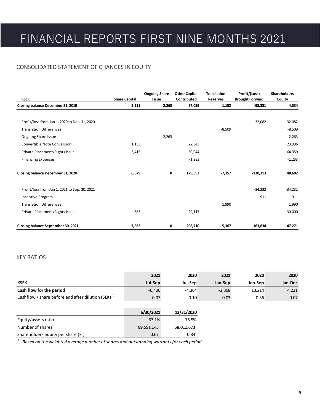### CONSOLIDATED STATEMENT OF CHANGES IN EQUITY

| <b>KSEK</b>                                   | <b>Share Capital</b> | <b>Ongoing Share</b><br>Issue | <b>Other Capital</b><br>Contributed | <b>Translation</b><br>Reserves | Profit/(Loss)<br><b>Brought Forward</b> | <b>Shareholders</b><br><b>Equity</b> |
|-----------------------------------------------|----------------------|-------------------------------|-------------------------------------|--------------------------------|-----------------------------------------|--------------------------------------|
| Closing balance December 31, 2019             | 2,111                | 2,263                         | 97,039                              | 1,152                          | $-98,231$                               | 4,334                                |
|                                               |                      |                               |                                     |                                |                                         |                                      |
| Profit/loss from Jan 1, 2020 to Dec. 31, 2020 |                      |                               |                                     |                                | $-32,082$                               | $-32,082$                            |
| <b>Translation Differences</b>                |                      |                               |                                     | $-8,509$                       |                                         | $-8,509$                             |
| Ongoing Share Issue                           |                      | $-2,263$                      |                                     |                                |                                         | $-2,263$                             |
| <b>Convertible Note Conversion</b>            | 1,153                |                               | 22,843                              |                                |                                         | 23,996                               |
| Private Placement/Rights Issue                | 3,415                |                               | 60,944                              |                                |                                         | 64,359                               |
| <b>Financing Expenses</b>                     |                      |                               | $-1,233$                            |                                |                                         | $-1,233$                             |
| Closing balance December 31, 2020             | 6,679                | 0                             | 179,593                             | $-7,357$                       | $-130,313$                              | 48,602                               |
| Profit/loss from Jan 1, 2021 to Sep. 30, 2021 |                      |                               |                                     |                                | $-34,232$                               | $-34,232$                            |
| <b>Incentive Program</b>                      |                      |                               |                                     |                                | 911                                     | 911                                  |
| <b>Translation Differences</b>                |                      |                               |                                     | 1,990                          |                                         | 1,990                                |
| Private Placement/Rights Issue                | 883                  |                               | 29,117                              |                                |                                         | 30,000                               |
| Closing balance September 30, 2021            | 7,562                | 0                             | 208,710                             | $-5,367$                       | $-163,634$                              | 47,271                               |

### KEY RATIOS

|                                                       | 2021     | 2020     | 2021     | 2020    | 2020    |
|-------------------------------------------------------|----------|----------|----------|---------|---------|
| <b>KSEK</b>                                           | Jul-Sep  | Jul-Sep  | Jan-Sep  | Jan-Sep | Jan-Dec |
| Cash flow for the period                              | $-6.406$ | $-4.364$ | $-2,368$ | 13.214  | 4,231   |
| Cashflow / share before and after dilution (SEK) $^4$ | $-0.07$  | $-0.10$  | $-0.03$  | 0.36    | 0.07    |

|                                    | 6/30/2021  | 12/31/2020 |
|------------------------------------|------------|------------|
| Equity/assets ratio                | 67.1%      | 76.5%      |
| Number of shares                   | 89,591,145 | 58,011,673 |
| Shareholders equity per share (kr) | 0.67       | 0.84       |

*1 Based on the weighted average number of shares and outstanding warrants for each period.*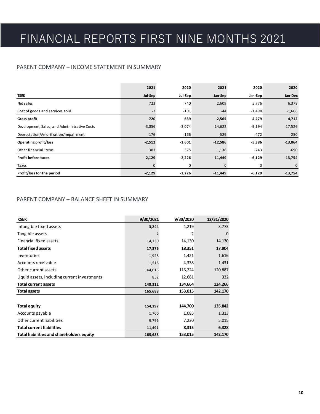### PARENT COMPANY – INCOME STATEMENT IN SUMMARY

|                                              | 2021     | 2020     | 2021         | 2020     | 2020      |
|----------------------------------------------|----------|----------|--------------|----------|-----------|
| <b>TSEK</b>                                  | Jul-Sep  | Jul-Sep  | Jan-Sep      | Jan-Sep  | Jan-Dec   |
| Net sales                                    | 723      | 740      | 2,609        | 5,776    | 6,378     |
| Cost of goods and services sold              | $-3$     | $-101$   | $-44$        | $-1,498$ | $-1,666$  |
| <b>Gross profit</b>                          | 720      | 639      | 2,565        | 4,279    | 4,712     |
| Development, Sales, and Administrative Costs | $-3,056$ | $-3,074$ | $-14,622$    | $-9,194$ | $-17,526$ |
| Depreciation/Amortization/Impairment         | $-176$   | $-166$   | $-529$       | -472     | $-250$    |
| <b>Operating profit/loss</b>                 | $-2,512$ | $-2,601$ | $-12,586$    | $-5,386$ | $-13,064$ |
| Other financial items                        | 383      | 375      | 1,138        | $-743$   | $-690$    |
| <b>Profit before taxes</b>                   | $-2,129$ | $-2,226$ | $-11,449$    | $-6,129$ | $-13,754$ |
| Taxes                                        | 0        | 0        | $\mathbf{0}$ | 0        | 0         |
| Profit/loss for the period                   | $-2,129$ | $-2,226$ | $-11,449$    | $-6,129$ | $-13,754$ |

### PARENT COMPANY – BALANCE SHEET IN SUMMARY

| <b>KSEK</b>                                  | 9/30/2021      | 9/30/2020 | 12/31/2020 |
|----------------------------------------------|----------------|-----------|------------|
| Intangible fixed assets                      | 3,244          | 4,219     | 3,773      |
| Tangible assets                              | $\overline{2}$ | 2         | 0          |
| Financial fixed assets                       | 14,130         | 14,130    | 14,130     |
| <b>Total fixed assets</b>                    | 17,376         | 18,351    | 17,904     |
| Inventories                                  | 1,928          | 1,421     | 1,616      |
| Accounts receivable                          | 1,516          | 4,338     | 1,431      |
| Other current assets                         | 144,016        | 116,224   | 120,887    |
| Liquid assets, including current investments | 852            | 12,681    | 332        |
| <b>Total current assets</b>                  | 148,312        | 134,664   | 124,266    |
| <b>Total assets</b>                          | 165,688        | 153,015   | 142,170    |
|                                              |                |           |            |
| <b>Total equity</b>                          | 154,197        | 144,700   | 135,842    |
| Accounts payable                             | 1,700          | 1,085     | 1,313      |
| Other current liabilities                    | 9,791          | 7,230     | 5,015      |
| <b>Total current liabilities</b>             | 11,491         | 8,315     | 6,328      |
| Total liabilities and shareholders equity    | 165,688        | 153,015   | 142,170    |